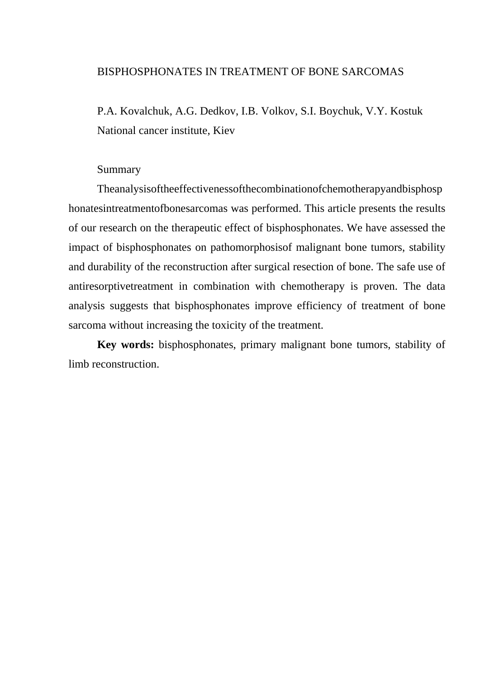#### BISPHOSPHONATES IN TREATMENT OF BONE SARCOMAS

P.A. Kovalchuk, A.G. Dedkov, I.B. Volkov, S.I. Boychuk, V.Y. Kostuk National cancer institute, Kiev

#### Summary

Theanalysisoftheeffectivenessofthecombinationofchemotherapyandbisphosp honatesintreatmentofbonesarcomas was performed. This article presents the results of our research on the therapeutic effect of bisphosphonates. We have assessed the impact of bisphosphonates on pathomorphosisof malignant bone tumors, stability and durability of the reconstruction after surgical resection of bone. The safe use of antiresorptivetreatment in combination with chemotherapy is proven. The data analysis suggests that bisphosphonates improve efficiency of treatment of bone sarcoma without increasing the toxicity of the treatment.

**Key words:** bisphosphonates, primary malignant bone tumors, stability of limb reconstruction.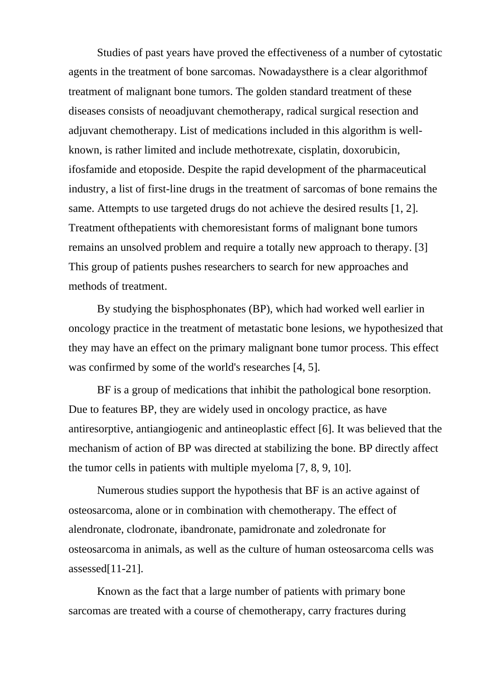Studies of past years have proved the effectiveness of a number of cytostatic agents in the treatment of bone sarcomas. Nowadaysthere is a clear algorithmof treatment of malignant bone tumors. The golden standard treatment of these diseases consists of neoadjuvant chemotherapy, radical surgical resection and adjuvant chemotherapy. List of medications included in this algorithm is wellknown, is rather limited and include methotrexate, cisplatin, doxorubicin, ifosfamide and etoposide. Despite the rapid development of the pharmaceutical industry, a list of first-line drugs in the treatment of sarcomas of bone remains the same. Attempts to use targeted drugs do not achieve the desired results [1, 2]. Treatment ofthepatients with chemoresistant forms of malignant bone tumors remains an unsolved problem and require a totally new approach to therapy. [3] This group of patients pushes researchers to search for new approaches and methods of treatment.

By studying the bisphosphonates (BP), which had worked well earlier in oncology practice in the treatment of metastatic bone lesions, we hypothesized that they may have an effect on the primary malignant bone tumor process. This effect was confirmed by some of the world's researches [4, 5].

BF is a group of medications that inhibit the pathological bone resorption. Due to features BP, they are widely used in oncology practice, as have antiresorptive, antiangiogenic and antineoplastic effect [6]. It was believed that the mechanism of action of BP was directed at stabilizing the bone. BP directly affect the tumor cells in patients with multiple myeloma [7, 8, 9, 10].

Numerous studies support the hypothesis that BF is an active against of osteosarcoma, alone or in combination with chemotherapy. The effect of alendronate, clodronate, ibandronate, pamidronate and zoledronate for osteosarcoma in animals, as well as the culture of human osteosarcoma cells was assessed[11-21].

Known as the fact that a large number of patients with primary bone sarcomas are treated with a course of chemotherapy, carry fractures during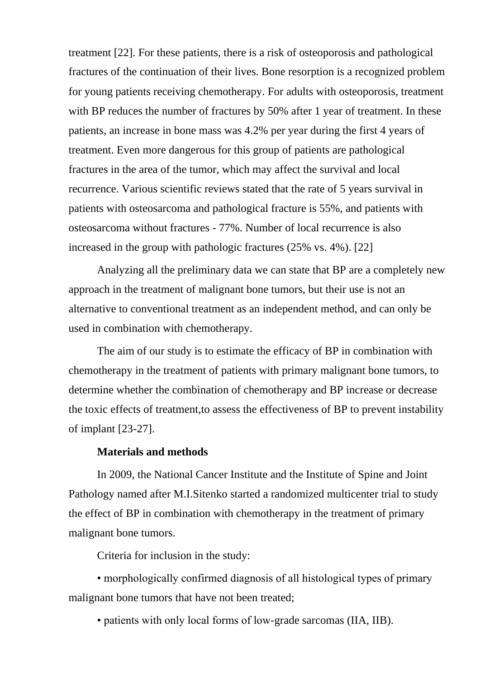treatment [22]. For these patients, there is a risk of osteoporosis and pathological fractures of the continuation of their lives. Bone resorption is a recognized problem for young patients receiving chemotherapy. For adults with osteoporosis, treatment with BP reduces the number of fractures by 50% after 1 year of treatment. In these patients, an increase in bone mass was 4.2% per year during the first 4 years of treatment. Even more dangerous for this group of patients are pathological fractures in the area of the tumor, which may affect the survival and local recurrence. Various scientific reviews stated that the rate of 5 years survival in patients with osteosarcoma and pathological fracture is 55%, and patients with osteosarcoma without fractures - 77%. Number of local recurrence is also increased in the group with pathologic fractures (25% vs. 4%). [22]

Analyzing all the preliminary data we can state that BP are a completely new approach in the treatment of malignant bone tumors, but their use is not an alternative to conventional treatment as an independent method, and can only be used in combination with chemotherapy.

The aim of our study is to estimate the efficacy of BP in combination with chemotherapy in the treatment of patients with primary malignant bone tumors, to determine whether the combination of chemotherapy and BP increase or decrease the toxic effects of treatment,to assess the effectiveness of BP to prevent instability of implant [23-27].

#### **Materials and methods**

In 2009, the National Cancer Institute and the Institute of Spine and Joint Pathology named after M.I.Sitenko started a randomized multicenter trial to study the effect of BP in combination with chemotherapy in the treatment of primary malignant bone tumors.

Criteria for inclusion in the study:

• morphologically confirmed diagnosis of all histological types of primary malignant bone tumors that have not been treated;

• patients with only local forms of low-grade sarcomas (IIA, IIB).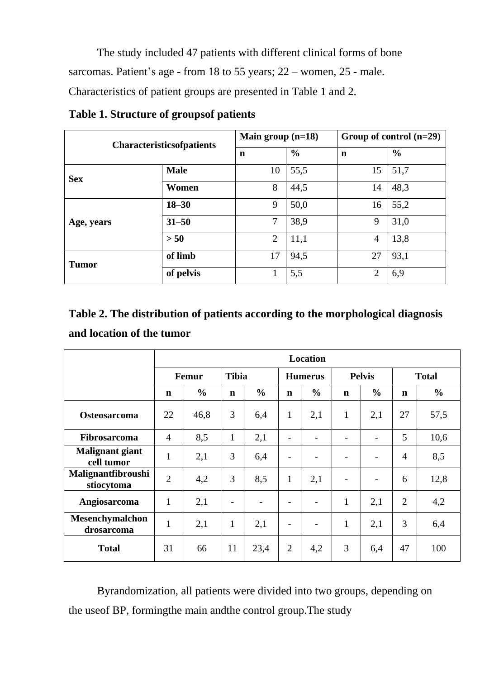The study included 47 patients with different clinical forms of bone sarcomas. Patient's age - from 18 to 55 years; 22 – women, 25 - male. Characteristics of patient groups are presented in Table 1 and 2.

| <b>Characteristicsofpatients</b> |             | Main group $(n=18)$ |               | Group of control $(n=29)$ |               |  |
|----------------------------------|-------------|---------------------|---------------|---------------------------|---------------|--|
|                                  |             | $\mathbf n$         | $\frac{6}{6}$ | n                         | $\frac{0}{0}$ |  |
| <b>Sex</b>                       | <b>Male</b> | 10                  | 55,5          | 15                        | 51,7          |  |
|                                  | Women       | 8                   | 44,5          | 14                        | 48,3          |  |
| Age, years                       | $18 - 30$   | 9                   | 50,0          | 16                        | 55,2          |  |
|                                  | $31 - 50$   | 7                   | 38,9          | 9                         | 31,0          |  |
|                                  | > 50        | $\overline{2}$      | 11,1          | $\overline{4}$            | 13,8          |  |
| <b>Tumor</b>                     | of limb     | 17                  | 94,5          | 27                        | 93,1          |  |
|                                  | of pelvis   |                     | 5,5           | $\overline{2}$            | 6,9           |  |

**Table 1. Structure of groupsof patients**

# **Table 2. The distribution of patients according to the morphological diagnosis and location of the tumor**

|                                         | Location       |                       |              |                |                          |                          |                              |                          |                |               |
|-----------------------------------------|----------------|-----------------------|--------------|----------------|--------------------------|--------------------------|------------------------------|--------------------------|----------------|---------------|
|                                         |                | <b>Tibia</b><br>Femur |              | <b>Humerus</b> |                          | <b>Pelvis</b>            |                              | <b>Total</b>             |                |               |
|                                         | n              | $\frac{0}{0}$         | $\mathbf n$  | $\frac{0}{0}$  | $\mathbf n$              | $\frac{0}{0}$            | $\mathbf n$                  | $\frac{0}{0}$            | $\mathbf n$    | $\frac{0}{0}$ |
| <b>Osteosarcoma</b>                     | 22             | 46,8                  | 3            | 6,4            | $\mathbf{1}$             | 2,1                      | $\mathbf{1}$                 | 2,1                      | 27             | 57,5          |
| Fibrosarcoma                            | $\overline{4}$ | 8,5                   | $\mathbf{1}$ | 2,1            | $\qquad \qquad$          | $\overline{\phantom{0}}$ | $\qquad \qquad \blacksquare$ | -                        | 5              | 10,6          |
| <b>Malignant giant</b><br>cell tumor    | $\mathbf{1}$   | 2,1                   | 3            | 6,4            | $\overline{\phantom{a}}$ | $\overline{\phantom{0}}$ |                              | $\overline{\phantom{0}}$ | $\overline{4}$ | 8,5           |
| <b>Malignantfibroushi</b><br>stiocytoma | $\overline{2}$ | 4,2                   | 3            | 8,5            | $\mathbf{1}$             | 2,1                      | $\overline{\phantom{a}}$     | $\overline{\phantom{0}}$ | 6              | 12,8          |
| Angiosarcoma                            | $\mathbf{1}$   | 2,1                   |              |                | $\overline{a}$           | $\overline{\phantom{0}}$ | $\mathbf{1}$                 | 2,1                      | $\overline{2}$ | 4,2           |
| Mesenchymalchon<br>drosarcoma           | $\mathbf{1}$   | 2,1                   | $\mathbf{1}$ | 2,1            | $\overline{\phantom{a}}$ | $\overline{\phantom{0}}$ | $\mathbf{1}$                 | 2,1                      | 3              | 6,4           |
| <b>Total</b>                            | 31             | 66                    | 11           | 23,4           | $\overline{2}$           | 4,2                      | 3                            | 6,4                      | 47             | 100           |

Byrandomization, all patients were divided into two groups, depending on the useof BP, formingthe main andthe control group.The study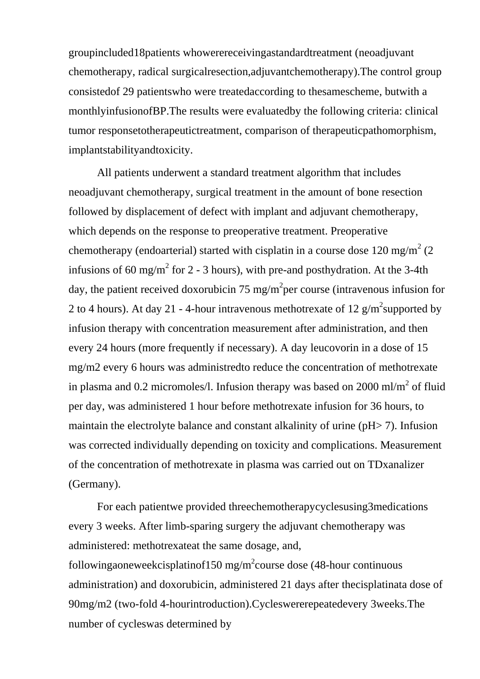groupincluded18patients whowerereceivingastandardtreatment (neoadjuvant chemotherapy, radical surgicalresection,adjuvantchemotherapy).The control group consistedof 29 patientswho were treatedaccording to thesamescheme, butwith a monthlyinfusionofBP.The results were evaluatedby the following criteria: clinical tumor responsetotherapeutictreatment, comparison of therapeuticpathomorphism, implantstabilityandtoxicity.

All patients underwent a standard treatment algorithm that includes neoadjuvant chemotherapy, surgical treatment in the amount of bone resection followed by displacement of defect with implant and adjuvant chemotherapy, which depends on the response to preoperative treatment. Preoperative chemotherapy (endoarterial) started with cisplatin in a course dose 120 mg/m<sup>2</sup> (2) infusions of 60 mg/m<sup>2</sup> for 2 - 3 hours), with pre-and posthydration. At the 3-4th day, the patient received doxorubicin 75 mg/m<sup>2</sup>per course (intravenous infusion for 2 to 4 hours). At day 21 - 4-hour intravenous methotrexate of 12  $\text{g/m}^2$ supported by infusion therapy with concentration measurement after administration, and then every 24 hours (more frequently if necessary). A day leucovorin in a dose of 15 mg/m2 every 6 hours was administredto reduce the concentration of methotrexate in plasma and 0.2 micromoles/l. Infusion therapy was based on 2000 ml/m<sup>2</sup> of fluid per day, was administered 1 hour before methotrexate infusion for 36 hours, to maintain the electrolyte balance and constant alkalinity of urine (pH> 7). Infusion was corrected individually depending on toxicity and complications. Measurement of the concentration of methotrexate in plasma was carried out on TDxanalizer (Germany).

For each patientwe provided threechemotherapycyclesusing3medications every 3 weeks. After limb-sparing surgery the adjuvant chemotherapy was administered: methotrexateat the same dosage, and, followingaoneweekcisplatinof150 mg/m<sup>2</sup>course dose (48-hour continuous administration) and doxorubicin, administered 21 days after thecisplatinata dose of 90mg/m2 (two-fold 4-hourintroduction).Cycleswererepeatedevery 3weeks.The number of cycleswas determined by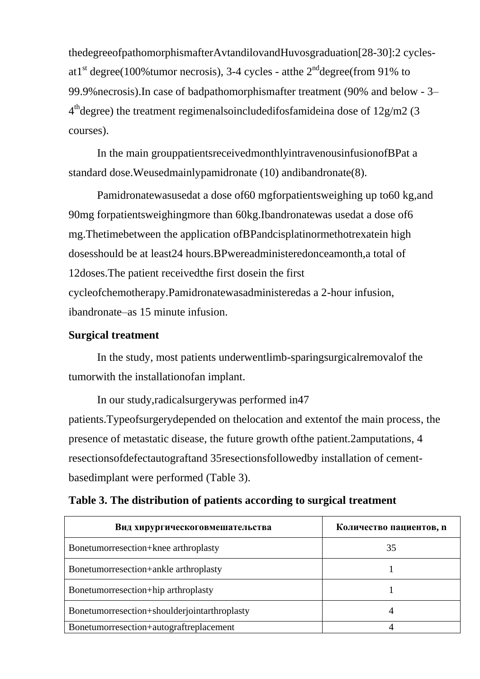thedegreeofpathomorphismafterAvtandilovandHuvosgraduation[28-30]:2 cyclesat1<sup>st</sup> degree(100%tumor necrosis), 3-4 cycles - atthe  $2<sup>nd</sup>$  degree(from 91% to 99.9%necrosis).In case of badpathomorphismafter treatment (90% and below - 3–  $4<sup>th</sup>$ degree) the treatment regimenalsoincludedifosfamideina dose of 12g/m2 (3) courses).

In the main grouppatientsreceivedmonthlyintravenousinfusionofBPat a standard dose.Weusedmainlypamidronate (10) andibandronate(8).

Pamidronatewasusedat a dose of60 mgforpatientsweighing up to60 kg,and 90mg forpatientsweighingmore than 60kg.Ibandronatewas usedat a dose of6 mg.Thetimebetween the application ofBPandcisplatinormethotrexatein high dosesshould be at least24 hours.BPwereadministeredonceamonth,a total of 12doses.The patient receivedthe first dosein the first cycleofchemotherapy.Pamidronatewasadministeredas a 2-hour infusion, ibandronate–as 15 minute infusion.

### **Surgical treatment**

In the study, most patients underwentlimb-sparingsurgicalremovalof the tumorwith the installationofan implant.

In our study,radicalsurgerywas performed in47 patients.Typeofsurgerydepended on thelocation and extentof the main process, the presence of metastatic disease, the future growth ofthe patient.2amputations, 4 resectionsofdefectautograftand 35resectionsfollowedby installation of cementbasedimplant were performed (Table 3).

| Вид хирургическоговмешательства              | Количество пациентов, п |
|----------------------------------------------|-------------------------|
| Bonetumorresection+knee arthroplasty         | 35                      |
| Bonetumorresection+ankle arthroplasty        |                         |
| Bonetumorresection+hip arthroplasty          |                         |
| Bonetumorresection+shoulderjointarthroplasty |                         |
| Bonetumorresection+autograftreplacement      |                         |

## **Table 3. The distribution of patients according to surgical treatment**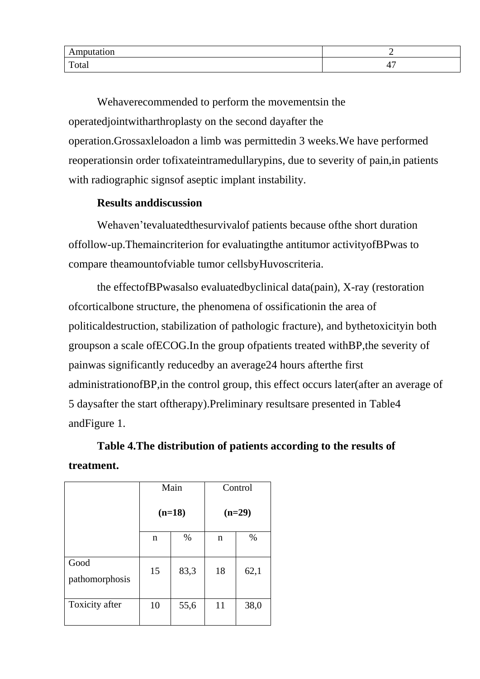| .uun<br><b>TYTTP</b> |  |
|----------------------|--|
| Total                |  |

Wehaverecommended to perform the movementsin the operatedjointwitharthroplasty on the second dayafter the operation.Grossaxleloadon a limb was permittedin 3 weeks.We have performed reoperationsin order tofixateintramedullarypins, due to severity of pain,in patients with radiographic signsof aseptic implant instability.

### **Results anddiscussion**

Wehaven'tevaluatedthesurvivalof patients because ofthe short duration offollow-up.Themaincriterion for evaluatingthe antitumor activityofBPwas to compare theamountofviable tumor cellsbyHuvoscriteria.

the effectofBPwasalso evaluatedbyclinical data(pain), X-ray (restoration ofcorticalbone structure, the phenomena of ossificationin the area of politicaldestruction, stabilization of pathologic fracture), and bythetoxicityin both groupson a scale ofECOG.In the group ofpatients treated withBP,the severity of painwas significantly reducedby an average24 hours afterthe first administrationofBP,in the control group, this effect occurs later(after an average of 5 daysafter the start oftherapy).Preliminary resultsare presented in Table4 andFigure 1.

**Table 4.The distribution of patients according to the results of treatment.**

|                        |    | Main     | Control  |      |
|------------------------|----|----------|----------|------|
|                        |    | $(n=18)$ | $(n=29)$ |      |
|                        | n  | $\%$     | n        | %    |
| Good<br>pathomorphosis | 15 | 83,3     | 18       | 62,1 |
| Toxicity after         | 10 | 55,6     | 11       | 38,0 |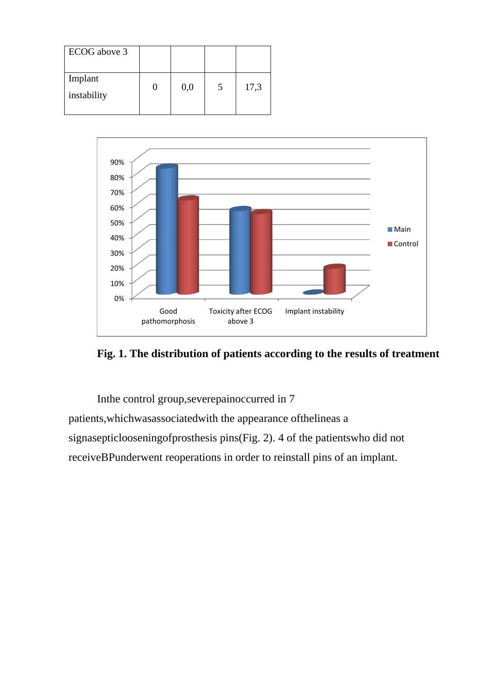| ECOG above 3           |     |      |
|------------------------|-----|------|
| Implant<br>instability | 0,0 | 17,3 |





Inthe control group,severepainoccurred in 7 patients,whichwasassociatedwith the appearance ofthelineas a

signasepticlooseningofprosthesis pins(Fig. 2). 4 of the patientswho did not

receiveBPunderwent reoperations in order to reinstall pins of an implant.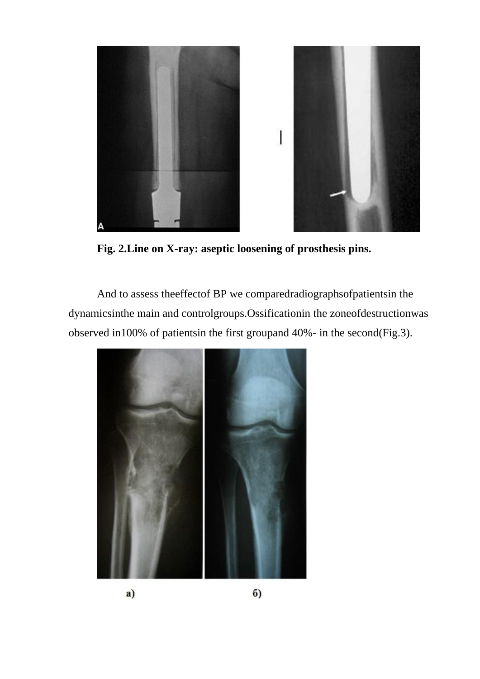

**Fig. 2.Line on X-ray: aseptic loosening of prosthesis pins.**

And to assess theeffectof BP we comparedradiographsofpatientsin the dynamicsinthe main and controlgroups.Ossificationin the zoneofdestructionwas observed in100% of patientsin the first groupand 40%- in the second(Fig.3).

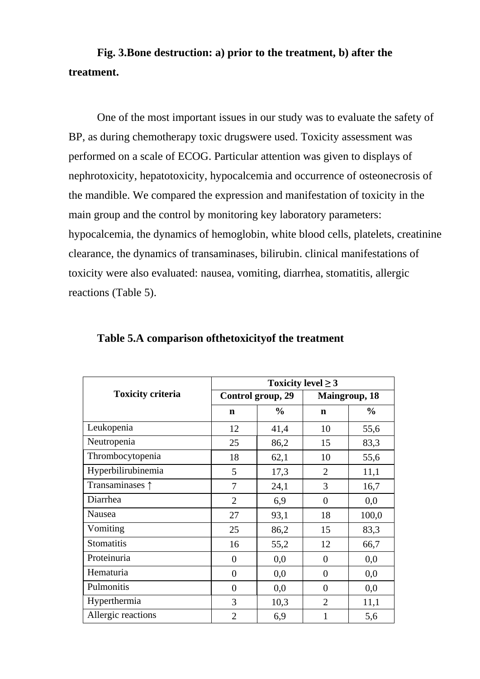## **Fig. 3.Bone destruction: a) prior to the treatment, b) after the treatment.**

One of the most important issues in our study was to evaluate the safety of BP, as during chemotherapy toxic drugswere used. Toxicity assessment was performed on a scale of ECOG. Particular attention was given to displays of nephrotoxicity, hepatotoxicity, hypocalcemia and occurrence of osteonecrosis of the mandible. We compared the expression and manifestation of toxicity in the main group and the control by monitoring key laboratory parameters: hypocalcemia, the dynamics of hemoglobin, white blood cells, platelets, creatinine clearance, the dynamics of transaminases, bilirubin. clinical manifestations of toxicity were also evaluated: nausea, vomiting, diarrhea, stomatitis, allergic reactions (Table 5).

|                          | Toxicity level $\geq$ 3 |                   |                       |               |  |  |  |
|--------------------------|-------------------------|-------------------|-----------------------|---------------|--|--|--|
| <b>Toxicity criteria</b> |                         | Control group, 29 | <b>Maingroup</b> , 18 |               |  |  |  |
|                          | $\mathbf n$             | $\frac{0}{0}$     | n                     | $\frac{0}{0}$ |  |  |  |
| Leukopenia               | 12                      | 41,4              | 10                    | 55,6          |  |  |  |
| Neutropenia              | 25                      | 86,2              | 15                    | 83,3          |  |  |  |
| Thrombocytopenia         | 18                      | 62,1              | 10                    | 55,6          |  |  |  |
| Hyperbilirubinemia       | 5                       | 17,3              | 2                     | 11,1          |  |  |  |
| Transaminases 1          | 7                       | 24,1              | 3                     | 16,7          |  |  |  |
| Diarrhea                 | $\overline{2}$          | 6,9               | $\overline{0}$        | 0,0           |  |  |  |
| Nausea                   | 27                      | 93,1              | 18                    | 100,0         |  |  |  |
| Vomiting                 | 25                      | 86,2              | 15                    | 83,3          |  |  |  |
| Stomatitis               | 16                      | 55,2              | 12                    | 66,7          |  |  |  |
| Proteinuria              | $\overline{0}$          | 0,0               | 0                     | 0,0           |  |  |  |
| Hematuria                | $\overline{0}$          | 0,0               | $\overline{0}$        | 0,0           |  |  |  |
| Pulmonitis               | $\overline{0}$          | 0,0               | $\overline{0}$        | 0,0           |  |  |  |
| Hyperthermia             | 3                       | 10,3              | $\overline{2}$        | 11,1          |  |  |  |
| Allergic reactions       | $\overline{2}$          | 6,9               | 1                     | 5,6           |  |  |  |

**Table 5.A comparison ofthetoxicityof the treatment**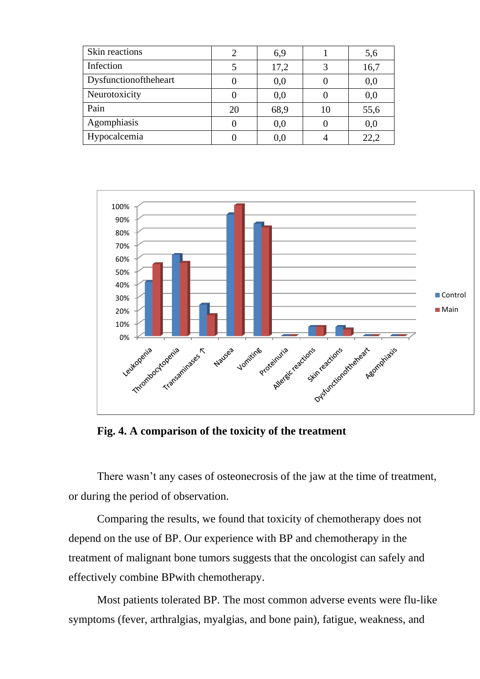| Skin reactions        | 2  | 6,9  |    | 5,6  |
|-----------------------|----|------|----|------|
| Infection             |    | 17,2 | 3  | 16,7 |
| Dysfunctionoftheheart |    | 0,0  |    | 0,0  |
| Neurotoxicity         |    | 0,0  |    | 0,0  |
| Pain                  | 20 | 68,9 | 10 | 55,6 |
| Agomphiasis           | 0  | 0,0  |    | 0,0  |
| Hypocalcemia          |    | 0,0  |    | 22,2 |



**Fig. 4. A comparison of the toxicity of the treatment**

There wasn't any cases of osteonecrosis of the jaw at the time of treatment, or during the period of observation.

Comparing the results, we found that toxicity of chemotherapy does not depend on the use of BP. Our experience with BP and chemotherapy in the treatment of malignant bone tumors suggests that the oncologist can safely and effectively combine BPwith chemotherapy.

Most patients tolerated BP. The most common adverse events were flu-like symptoms (fever, arthralgias, myalgias, and bone pain), fatigue, weakness, and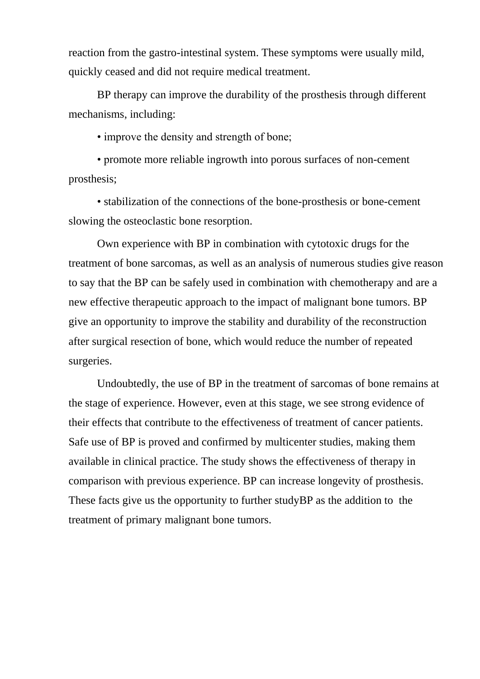reaction from the gastro-intestinal system. These symptoms were usually mild, quickly ceased and did not require medical treatment.

BP therapy can improve the durability of the prosthesis through different mechanisms, including:

• improve the density and strength of bone:

• promote more reliable ingrowth into porous surfaces of non-cement prosthesis;

• stabilization of the connections of the bone-prosthesis or bone-cement slowing the osteoclastic bone resorption.

Own experience with BP in combination with cytotoxic drugs for the treatment of bone sarcomas, as well as an analysis of numerous studies give reason to say that the BP can be safely used in combination with chemotherapy and are a new effective therapeutic approach to the impact of malignant bone tumors. BP give an opportunity to improve the stability and durability of the reconstruction after surgical resection of bone, which would reduce the number of repeated surgeries.

Undoubtedly, the use of BP in the treatment of sarcomas of bone remains at the stage of experience. However, even at this stage, we see strong evidence of their effects that contribute to the effectiveness of treatment of cancer patients. Safe use of BP is proved and confirmed by multicenter studies, making them available in clinical practice. The study shows the effectiveness of therapy in comparison with previous experience. BP can increase longevity of prosthesis. These facts give us the opportunity to further studyBP as the addition to the treatment of primary malignant bone tumors.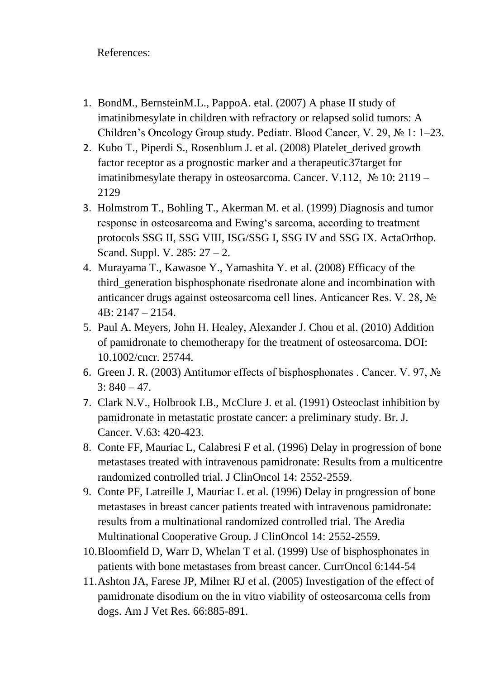## References:

- 1. BondM., BernsteinM.L., PappoA. etal. (2007) A phase II study of imatinibmesylate in children with refractory or relapsed solid tumors: A Children's Oncology Group study. Pediatr. Blood Cancer, V. 29, № 1: 1–23.
- 2. Kubo T., Piperdi S., Rosenblum J. et al. (2008) Platelet\_derived growth factor receptor as a prognostic marker and a therapeutic37target for imatinibmesylate therapy in osteosarcoma. Cancer. V.112,  $\mathcal{N}$  10: 2119 – 2129
- 3. Holmstrom T., Bohling T., Akerman M. et al. (1999) Diagnosis and tumor response in osteosarcoma and Ewing's sarcoma, according to treatment protocols SSG II, SSG VIII, ISG/SSG I, SSG IV and SSG IX. ActaOrthop. Scand. Suppl. V. 285: 27 – 2.
- 4. Murayama T., Kawasoe Y., Yamashita Y. et al. (2008) Efficacy of the third\_generation bisphosphonate risedronate alone and incombination with anticancer drugs against osteosarcoma cell lines. Anticancer Res. V. 28, № 4B: 2147 – 2154.
- 5. Paul A. Meyers, John H. Healey, Alexander J. Chou et al. (2010) Addition of pamidronate to chemotherapy for the treatment of osteosarcoma. DOI: 10.1002/cncr. 25744.
- 6. Green J. R. (2003) Antitumor effects of bisphosphonates . Cancer. V. 97, №  $3: 840 - 47.$
- 7. Clark N.V., Holbrook I.B., McClure J. et al. (1991) Osteoclast inhibition by pamidronate in metastatic prostate cancer: a preliminary study. Br. J. Cancer. V.63: 420-423.
- 8. Conte FF, Mauriac L, Calabresi F et al. (1996) Delay in progression of bone metastases treated with intravenous pamidronate: Results from a multicentre randomized controlled trial. J ClinOncol 14: 2552-2559.
- 9. Conte PF, Latreille J, Mauriac L et al. (1996) Delay in progression of bone metastases in breast cancer patients treated with intravenous pamidronate: results from a multinational randomized controlled trial. The Aredia Multinational Cooperative Group. J ClinOncol 14: 2552-2559.
- 10.Bloomfield D, Warr D, Whelan T et al. (1999) Use of bisphosphonates in patients with bone metastases from breast cancer. CurrOncol 6:144-54
- 11.Ashton JA, Farese JP, Milner RJ et al. (2005) Investigation of the effect of pamidronate disodium on the in vitro viability of osteosarcoma cells from dogs. Am J Vet Res. 66:885-891.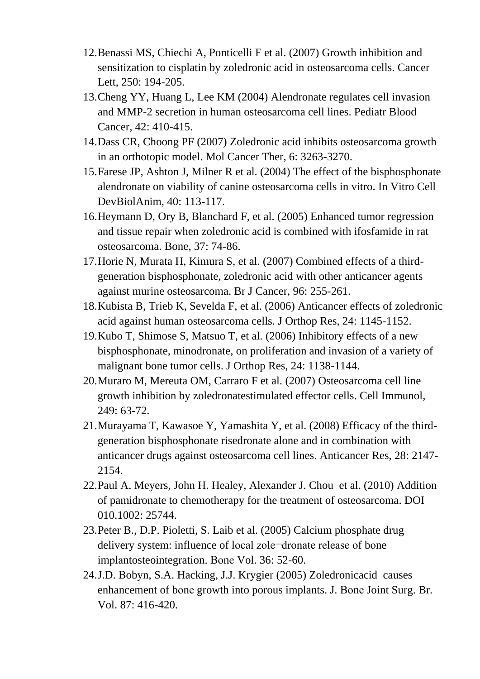- 12.Benassi MS, Chiechi A, Ponticelli F et al. (2007) Growth inhibition and sensitization to cisplatin by zoledronic acid in osteosarcoma cells. Cancer Lett, 250: 194-205.
- 13.Cheng YY, Huang L, Lee KM (2004) Alendronate regulates cell invasion and MMP-2 secretion in human osteosarcoma cell lines. Pediatr Blood Cancer, 42: 410-415.
- 14.Dass CR, Choong PF (2007) Zoledronic acid inhibits osteosarcoma growth in an orthotopic model. Mol Cancer Ther, 6: 3263-3270.
- 15.Farese JP, Ashton J, Milner R et al. (2004) The effect of the bisphosphonate alendronate on viability of canine osteosarcoma cells in vitro. In Vitro Cell DevBiolAnim, 40: 113-117.
- 16.Heymann D, Ory B, Blanchard F, et al. (2005) Enhanced tumor regression and tissue repair when zoledronic acid is combined with ifosfamide in rat osteosarcoma. Bone, 37: 74-86.
- 17.Horie N, Murata H, Kimura S, et al. (2007) Combined effects of a thirdgeneration bisphosphonate, zoledronic acid with other anticancer agents against murine osteosarcoma. Br J Cancer, 96: 255-261.
- 18.Kubista B, Trieb K, Sevelda F, et al. (2006) Anticancer effects of zoledronic acid against human osteosarcoma cells. J Orthop Res, 24: 1145-1152.
- 19.Kubo T, Shimose S, Matsuo T, et al. (2006) Inhibitory effects of a new bisphosphonate, minodronate, on proliferation and invasion of a variety of malignant bone tumor cells. J Orthop Res, 24: 1138-1144.
- 20.Muraro M, Mereuta OM, Carraro F et al. (2007) Osteosarcoma cell line growth inhibition by zoledronatestimulated effector cells. Cell Immunol, 249: 63-72.
- 21.Murayama T, Kawasoe Y, Yamashita Y, et al. (2008) Efficacy of the thirdgeneration bisphosphonate risedronate alone and in combination with anticancer drugs against osteosarcoma cell lines. Anticancer Res, 28: 2147- 2154.
- 22.Paul A. Meyers, John H. Healey, Alexander J. Chou et al. (2010) Addition of pamidronate to chemotherapy for the treatment of osteosarcoma. DOI 010.1002: 25744.
- 23.Peter B., D.P. Pioletti, S. Laib et al. (2005) Calcium phosphate drug delivery system: influence of local zole¬dronate release of bone imрlаntosteointegration. Воnе Vol. 36: 52-60.
- 24.J.D. Вobyn, S.A. Hacking, J.J. Krygier (2005) Zoledronicacid causes enhancement of bоnе growth into porous implants. J. Воnе Joint Surg. Br. Vol. 87: 416-420.